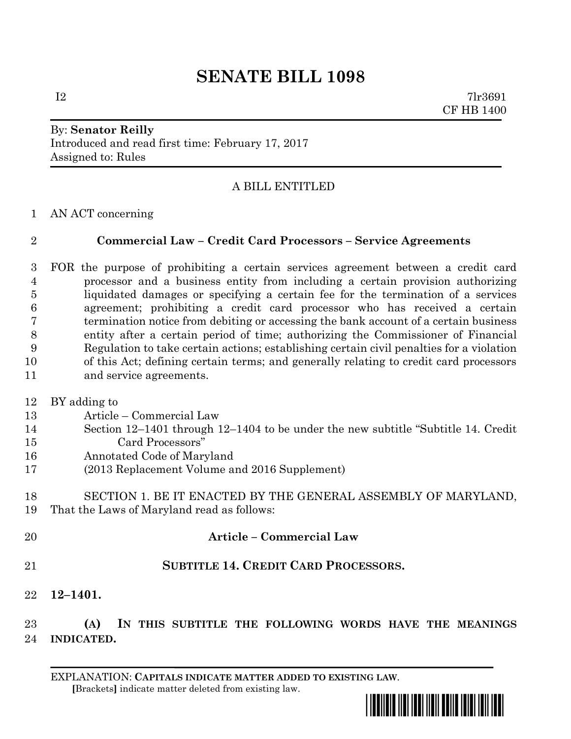## **SENATE BILL 1098**

 $I2 \t\t 71r3691$ CF HB 1400

## By: **Senator Reilly** Introduced and read first time: February 17, 2017 Assigned to: Rules

## A BILL ENTITLED

AN ACT concerning

## **Commercial Law – Credit Card Processors – Service Agreements**

 FOR the purpose of prohibiting a certain services agreement between a credit card processor and a business entity from including a certain provision authorizing liquidated damages or specifying a certain fee for the termination of a services agreement; prohibiting a credit card processor who has received a certain termination notice from debiting or accessing the bank account of a certain business entity after a certain period of time; authorizing the Commissioner of Financial Regulation to take certain actions; establishing certain civil penalties for a violation of this Act; defining certain terms; and generally relating to credit card processors and service agreements.

BY adding to

- Article Commercial Law
- Section 12–1401 through 12–1404 to be under the new subtitle "Subtitle 14. Credit Card Processors"
- Annotated Code of Maryland
- (2013 Replacement Volume and 2016 Supplement)
- SECTION 1. BE IT ENACTED BY THE GENERAL ASSEMBLY OF MARYLAND, That the Laws of Maryland read as follows:
- **Article – Commercial Law**
- **SUBTITLE 14. CREDIT CARD PROCESSORS.**
- **12–1401.**

 **(A) IN THIS SUBTITLE THE FOLLOWING WORDS HAVE THE MEANINGS INDICATED.**

EXPLANATION: **CAPITALS INDICATE MATTER ADDED TO EXISTING LAW**.  **[**Brackets**]** indicate matter deleted from existing law.

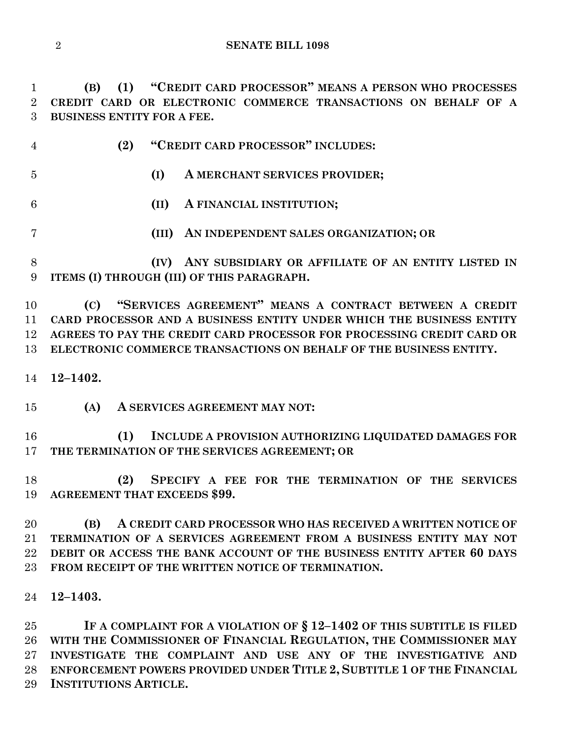**(B) (1) "CREDIT CARD PROCESSOR" MEANS A PERSON WHO PROCESSES CREDIT CARD OR ELECTRONIC COMMERCE TRANSACTIONS ON BEHALF OF A BUSINESS ENTITY FOR A FEE.**

|     | (2) "CREDIT CARD PROCESSOR" INCLUDES: |                               |
|-----|---------------------------------------|-------------------------------|
| - 5 |                                       | A MERCHANT SERVICES PROVIDER; |
|     |                                       | (II) A FINANCIAL INSTITUTION; |

**(III) AN INDEPENDENT SALES ORGANIZATION; OR**

 **(IV) ANY SUBSIDIARY OR AFFILIATE OF AN ENTITY LISTED IN ITEMS (I) THROUGH (III) OF THIS PARAGRAPH.**

 **(C) "SERVICES AGREEMENT" MEANS A CONTRACT BETWEEN A CREDIT CARD PROCESSOR AND A BUSINESS ENTITY UNDER WHICH THE BUSINESS ENTITY AGREES TO PAY THE CREDIT CARD PROCESSOR FOR PROCESSING CREDIT CARD OR ELECTRONIC COMMERCE TRANSACTIONS ON BEHALF OF THE BUSINESS ENTITY.**

**12–1402.**

**(A) A SERVICES AGREEMENT MAY NOT:**

 **(1) INCLUDE A PROVISION AUTHORIZING LIQUIDATED DAMAGES FOR THE TERMINATION OF THE SERVICES AGREEMENT; OR**

 **(2) SPECIFY A FEE FOR THE TERMINATION OF THE SERVICES AGREEMENT THAT EXCEEDS \$99.**

 **(B) A CREDIT CARD PROCESSOR WHO HAS RECEIVED A WRITTEN NOTICE OF TERMINATION OF A SERVICES AGREEMENT FROM A BUSINESS ENTITY MAY NOT DEBIT OR ACCESS THE BANK ACCOUNT OF THE BUSINESS ENTITY AFTER 60 DAYS FROM RECEIPT OF THE WRITTEN NOTICE OF TERMINATION.**

**12–1403.**

 **IF A COMPLAINT FOR A VIOLATION OF § 12–1402 OF THIS SUBTITLE IS FILED WITH THE COMMISSIONER OF FINANCIAL REGULATION, THE COMMISSIONER MAY INVESTIGATE THE COMPLAINT AND USE ANY OF THE INVESTIGATIVE AND ENFORCEMENT POWERS PROVIDED UNDER TITLE 2, SUBTITLE 1 OF THE FINANCIAL INSTITUTIONS ARTICLE.**